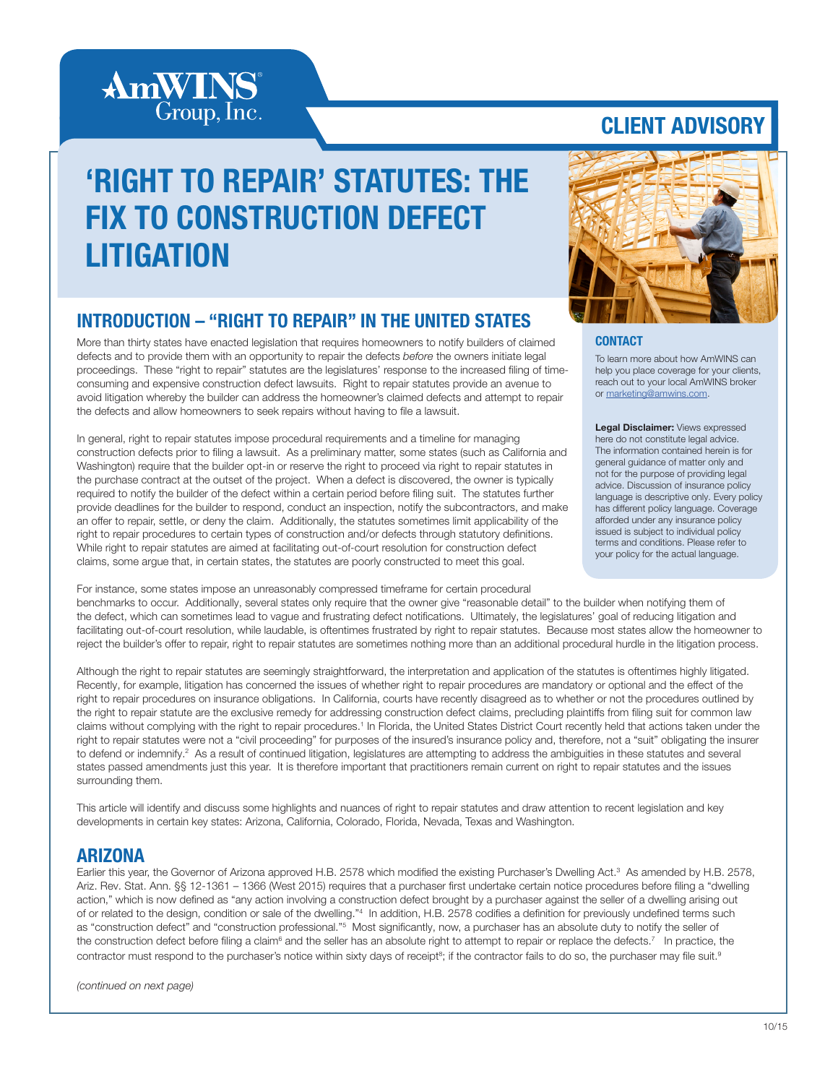

# 'RIGHT TO REPAIR' STATUTES: THE FIX TO CONSTRUCTION DEFECT LITIGATION

#### INTRODUCTION – "RIGHT TO REPAIR" IN THE UNITED STATES

More than thirty states have enacted legislation that requires homeowners to notify builders of claimed defects and to provide them with an opportunity to repair the defects *before* the owners initiate legal proceedings. These "right to repair" statutes are the legislatures' response to the increased filing of timeconsuming and expensive construction defect lawsuits. Right to repair statutes provide an avenue to avoid litigation whereby the builder can address the homeowner's claimed defects and attempt to repair the defects and allow homeowners to seek repairs without having to file a lawsuit.

In general, right to repair statutes impose procedural requirements and a timeline for managing construction defects prior to filing a lawsuit. As a preliminary matter, some states (such as California and Washington) require that the builder opt-in or reserve the right to proceed via right to repair statutes in the purchase contract at the outset of the project. When a defect is discovered, the owner is typically required to notify the builder of the defect within a certain period before filing suit. The statutes further provide deadlines for the builder to respond, conduct an inspection, notify the subcontractors, and make an offer to repair, settle, or deny the claim. Additionally, the statutes sometimes limit applicability of the right to repair procedures to certain types of construction and/or defects through statutory definitions. While right to repair statutes are aimed at facilitating out-of-court resolution for construction defect claims, some argue that, in certain states, the statutes are poorly constructed to meet this goal.

For instance, some states impose an unreasonably compressed timeframe for certain procedural benchmarks to occur. Additionally, several states only require that the owner give "reasonable detail" to the builder when notifying them of the defect, which can sometimes lead to vague and frustrating defect notifications. Ultimately, the legislatures' goal of reducing litigation and facilitating out-of-court resolution, while laudable, is oftentimes frustrated by right to repair statutes. Because most states allow the homeowner to reject the builder's offer to repair, right to repair statutes are sometimes nothing more than an additional procedural hurdle in the litigation process.

Although the right to repair statutes are seemingly straightforward, the interpretation and application of the statutes is oftentimes highly litigated. Recently, for example, litigation has concerned the issues of whether right to repair procedures are mandatory or optional and the effect of the right to repair procedures on insurance obligations. In California, courts have recently disagreed as to whether or not the procedures outlined by the right to repair statute are the exclusive remedy for addressing construction defect claims, precluding plaintiffs from filing suit for common law claims without complying with the right to repair procedures.<sup>1</sup> In Florida, the United States District Court recently held that actions taken under the right to repair statutes were not a "civil proceeding" for purposes of the insured's insurance policy and, therefore, not a "suit" obligating the insurer to defend or indemnify.<sup>2</sup> As a result of continued litigation, legislatures are attempting to address the ambiguities in these statutes and several states passed amendments just this year. It is therefore important that practitioners remain current on right to repair statutes and the issues surrounding them.

This article will identify and discuss some highlights and nuances of right to repair statutes and draw attention to recent legislation and key developments in certain key states: Arizona, California, Colorado, Florida, Nevada, Texas and Washington.

#### ARIZONA

Earlier this year, the Governor of Arizona approved H.B. 2578 which modified the existing Purchaser's Dwelling Act.<sup>3</sup> As amended by H.B. 2578, Ariz. Rev. Stat. Ann. §§ 12-1361 – 1366 (West 2015) requires that a purchaser first undertake certain notice procedures before filing a "dwelling action," which is now defined as "any action involving a construction defect brought by a purchaser against the seller of a dwelling arising out of or related to the design, condition or sale of the dwelling."<sup>4</sup> In addition, H.B. 2578 codifies a definition for previously undefined terms such as "construction defect" and "construction professional."<sup>5</sup> Most significantly, now, a purchaser has an absolute duty to notify the seller of the construction defect before filing a claim<sup>6</sup> and the seller has an absolute right to attempt to repair or replace the defects.<sup>7</sup> In practice, the contractor must respond to the purchaser's notice within sixty days of receipt<sup>8</sup>; if the contractor fails to do so, the purchaser may file suit.<sup>9</sup>



#### **CONTACT**

To learn more about how AmWINS can help you place coverage for your clients, reach out to your local AmWINS broker or marketing@amwins.com.

Legal Disclaimer: Views expressed here do not constitute legal advice. The information contained herein is for general guidance of matter only and not for the purpose of providing legal advice. Discussion of insurance policy language is descriptive only. Every policy has different policy language. Coverage afforded under any insurance policy issued is subject to individual policy terms and conditions. Please refer to your policy for the actual language.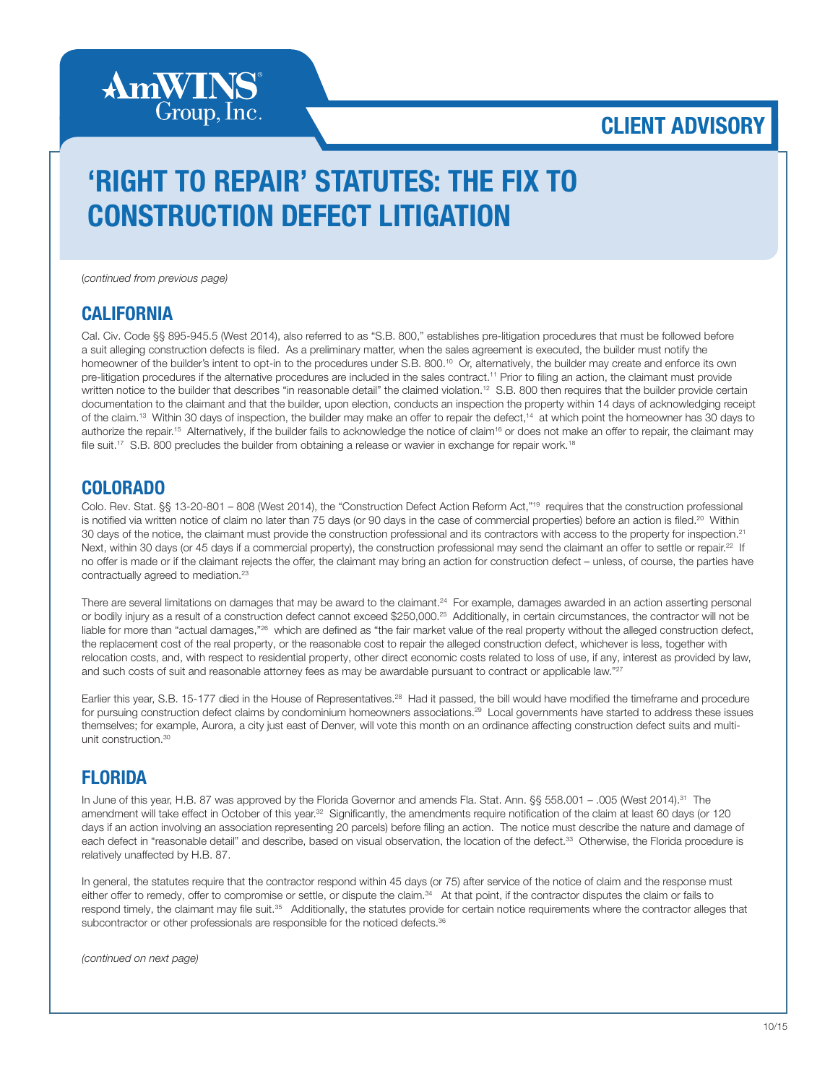

# 'RIGHT TO REPAIR' STATUTES: THE FIX TO CONSTRUCTION DEFECT LITIGATION

(*continued from previous page)*

#### **CALIFORNIA**

Cal. Civ. Code §§ 895-945.5 (West 2014), also referred to as "S.B. 800," establishes pre-litigation procedures that must be followed before a suit alleging construction defects is filed. As a preliminary matter, when the sales agreement is executed, the builder must notify the homeowner of the builder's intent to opt-in to the procedures under S.B. 800.<sup>10</sup> Or, alternatively, the builder may create and enforce its own pre-litigation procedures if the alternative procedures are included in the sales contract.<sup>11</sup> Prior to filing an action, the claimant must provide written notice to the builder that describes "in reasonable detail" the claimed violation.<sup>12</sup> S.B. 800 then requires that the builder provide certain documentation to the claimant and that the builder, upon election, conducts an inspection the property within 14 days of acknowledging receipt of the claim.<sup>13</sup> Within 30 days of inspection, the builder may make an offer to repair the defect,<sup>14</sup> at which point the homeowner has 30 days to authorize the repair.<sup>15</sup> Alternatively, if the builder fails to acknowledge the notice of claim<sup>16</sup> or does not make an offer to repair, the claimant may file suit.<sup>17</sup> S.B. 800 precludes the builder from obtaining a release or wavier in exchange for repair work.<sup>18</sup>

#### COLORADO

Colo. Rev. Stat. §§ 13-20-801 – 808 (West 2014), the "Construction Defect Action Reform Act,"19 requires that the construction professional is notified via written notice of claim no later than 75 days (or 90 days in the case of commercial properties) before an action is filed.<sup>20</sup> Within 30 days of the notice, the claimant must provide the construction professional and its contractors with access to the property for inspection.<sup>21</sup> Next, within 30 days (or 45 days if a commercial property), the construction professional may send the claimant an offer to settle or repair.<sup>22</sup> If no offer is made or if the claimant rejects the offer, the claimant may bring an action for construction defect – unless, of course, the parties have contractually agreed to mediation.<sup>23</sup>

There are several limitations on damages that may be award to the claimant.<sup>24</sup> For example, damages awarded in an action asserting personal or bodily injury as a result of a construction defect cannot exceed \$250,000.<sup>25</sup> Additionally, in certain circumstances, the contractor will not be liable for more than "actual damages,"<sup>26</sup> which are defined as "the fair market value of the real property without the alleged construction defect, the replacement cost of the real property, or the reasonable cost to repair the alleged construction defect, whichever is less, together with relocation costs, and, with respect to residential property, other direct economic costs related to loss of use, if any, interest as provided by law, and such costs of suit and reasonable attorney fees as may be awardable pursuant to contract or applicable law."27

Earlier this year, S.B. 15-177 died in the House of Representatives.<sup>28</sup> Had it passed, the bill would have modified the timeframe and procedure for pursuing construction defect claims by condominium homeowners associations.<sup>29</sup> Local governments have started to address these issues themselves; for example, Aurora, a city just east of Denver, will vote this month on an ordinance affecting construction defect suits and multiunit construction.30

#### **FI ORIDA**

In June of this year, H.B. 87 was approved by the Florida Governor and amends Fla. Stat. Ann. §§ 558.001 - .005 (West 2014).<sup>31</sup> The amendment will take effect in October of this year.<sup>32</sup> Significantly, the amendments require notification of the claim at least 60 days (or 120 days if an action involving an association representing 20 parcels) before filing an action. The notice must describe the nature and damage of each defect in "reasonable detail" and describe, based on visual observation, the location of the defect.<sup>33</sup> Otherwise, the Florida procedure is relatively unaffected by H.B. 87.

In general, the statutes require that the contractor respond within 45 days (or 75) after service of the notice of claim and the response must either offer to remedy, offer to compromise or settle, or dispute the claim.<sup>34</sup> At that point, if the contractor disputes the claim or fails to respond timely, the claimant may file suit.<sup>35</sup> Additionally, the statutes provide for certain notice requirements where the contractor alleges that subcontractor or other professionals are responsible for the noticed defects.<sup>36</sup>

*(continued on next page)*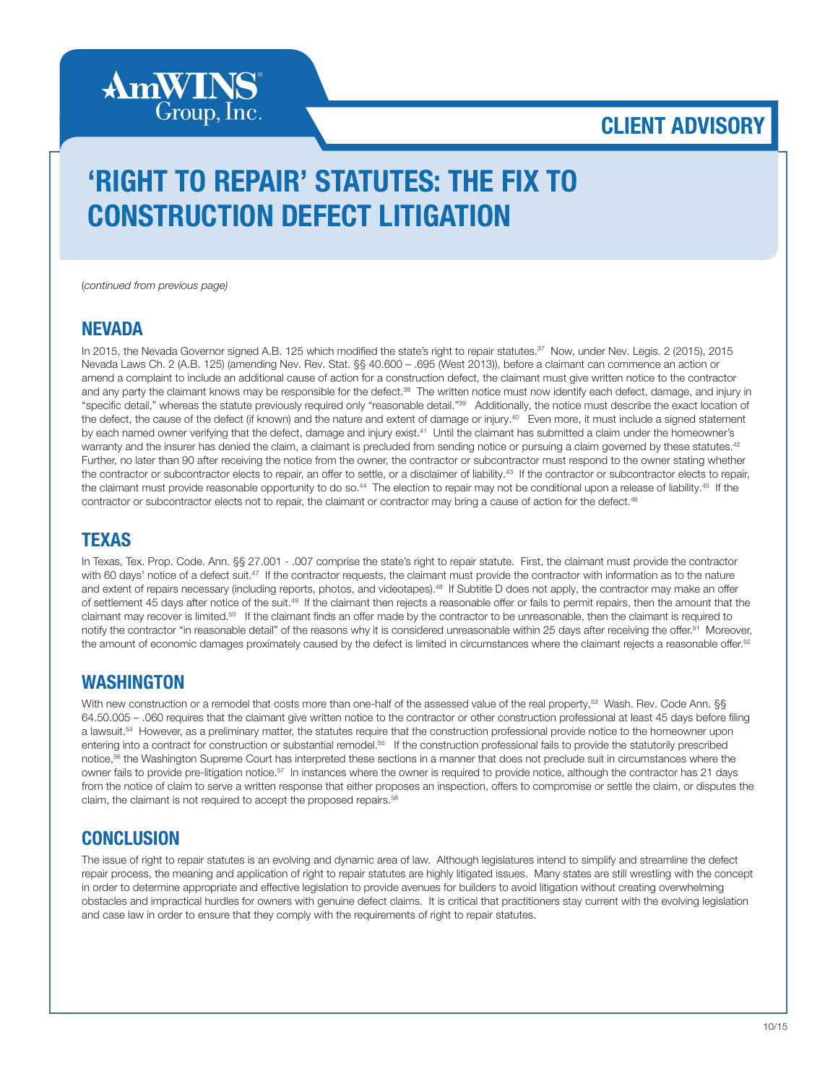

# 'RIGHT TO REPAIR' STATUTES: THE FIX TO CONSTRUCTION DEFECT LITIGATION

(*continued from previous page)*

#### **NEVADA**

In 2015, the Nevada Governor signed A.B. 125 which modified the state's right to repair statutes.<sup>37</sup> Now, under Nev. Legis. 2 (2015), 2015 Nevada Laws Ch. 2 (A.B. 125) (amending Nev. Rev. Stat. §§ 40.600 – .695 (West 2013)), before a claimant can commence an action or amend a complaint to include an additional cause of action for a construction defect, the claimant must give written notice to the contractor and any party the claimant knows may be responsible for the defect.<sup>38</sup> The written notice must now identify each defect, damage, and injury in "specific detail," whereas the statute previously required only "reasonable detail."39 Additionally, the notice must describe the exact location of the defect, the cause of the defect (if known) and the nature and extent of damage or injury.<sup>40</sup> Even more, it must include a signed statement by each named owner verifying that the defect, damage and injury exist.<sup>41</sup> Until the claimant has submitted a claim under the homeowner's warranty and the insurer has denied the claim, a claimant is precluded from sending notice or pursuing a claim governed by these statutes.<sup>42</sup> Further, no later than 90 after receiving the notice from the owner, the contractor or subcontractor must respond to the owner stating whether the contractor or subcontractor elects to repair, an offer to settle, or a disclaimer of liability.<sup>43</sup> If the contractor or subcontractor elects to repair, the claimant must provide reasonable opportunity to do so.<sup>44</sup> The election to repair may not be conditional upon a release of liability.<sup>45</sup> If the contractor or subcontractor elects not to repair, the claimant or contractor may bring a cause of action for the defect.<sup>46</sup>

#### **TEXAS**

In Texas, Tex. Prop. Code. Ann. §§ 27.001 - .007 comprise the state's right to repair statute. First, the claimant must provide the contractor with 60 days' notice of a defect suit.<sup>47</sup> If the contractor requests, the claimant must provide the contractor with information as to the nature and extent of repairs necessary (including reports, photos, and videotapes).48 If Subtitle D does not apply, the contractor may make an offer of settlement 45 days after notice of the suit.49 If the claimant then rejects a reasonable offer or fails to permit repairs, then the amount that the claimant may recover is limited.<sup>50</sup> If the claimant finds an offer made by the contractor to be unreasonable, then the claimant is required to notify the contractor "in reasonable detail" of the reasons why it is considered unreasonable within 25 days after receiving the offer.<sup>51</sup> Moreover, the amount of economic damages proximately caused by the defect is limited in circumstances where the claimant rejects a reasonable offer.<sup>52</sup>

#### WASHINGTON

With new construction or a remodel that costs more than one-half of the assessed value of the real property,<sup>53</sup> Wash. Rev. Code Ann. §§ 64.50.005 – .060 requires that the claimant give written notice to the contractor or other construction professional at least 45 days before filing a lawsuit.<sup>54</sup> However, as a preliminary matter, the statutes require that the construction professional provide notice to the homeowner upon entering into a contract for construction or substantial remodel.55 If the construction professional fails to provide the statutorily prescribed notice,56 the Washington Supreme Court has interpreted these sections in a manner that does not preclude suit in circumstances where the owner fails to provide pre-litigation notice.57 In instances where the owner is required to provide notice, although the contractor has 21 days from the notice of claim to serve a written response that either proposes an inspection, offers to compromise or settle the claim, or disputes the claim, the claimant is not required to accept the proposed repairs.<sup>58</sup>

#### **CONCLUSION**

The issue of right to repair statutes is an evolving and dynamic area of law. Although legislatures intend to simplify and streamline the defect repair process, the meaning and application of right to repair statutes are highly litigated issues. Many states are still wrestling with the concept in order to determine appropriate and effective legislation to provide avenues for builders to avoid litigation without creating overwhelming obstacles and impractical hurdles for owners with genuine defect claims. It is critical that practitioners stay current with the evolving legislation and case law in order to ensure that they comply with the requirements of right to repair statutes.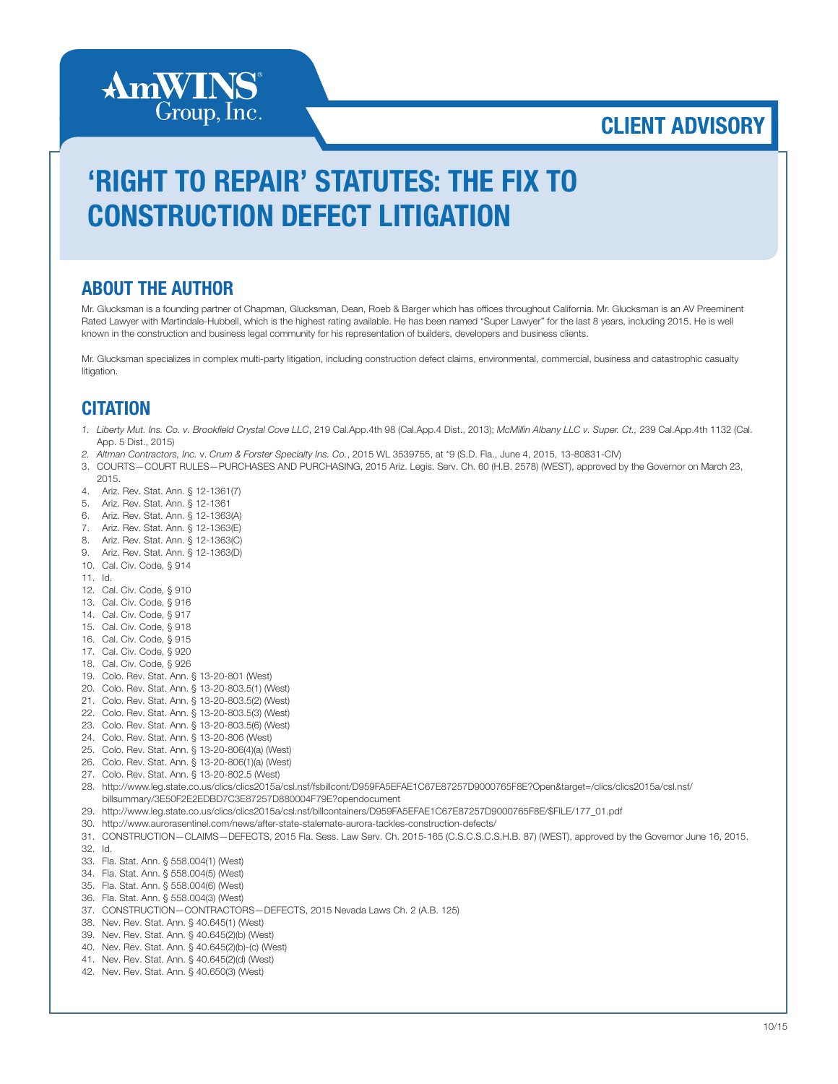

# 'RIGHT TO REPAIR' STATUTES: THE FIX TO CONSTRUCTION DEFECT LITIGATION

#### ABOUT THE AUTHOR

Mr. Glucksman is a founding partner of Chapman, Glucksman, Dean, Roeb & Barger which has offices throughout California. Mr. Glucksman is an AV Preeminent Rated Lawyer with Martindale-Hubbell, which is the highest rating available. He has been named "Super Lawyer" for the last 8 years, including 2015. He is well known in the construction and business legal community for his representation of builders, developers and business clients.

Mr. Glucksman specializes in complex multi-party litigation, including construction defect claims, environmental, commercial, business and catastrophic casualty litigation.

#### **CITATION**

- *1. Liberty Mut. Ins. Co. v. Brookfield Crystal Cove LLC*, 219 Cal.App.4th 98 (Cal.App.4 Dist., 2013); *McMillin Albany LLC v. Super. Ct.,* 239 Cal.App.4th 1132 (Cal. App. 5 Dist., 2015)
- *2. Altman Contractors, Inc.* v. *Crum & Forster Specialty Ins. Co.*, 2015 WL 3539755, at \*9 (S.D. Fla., June 4, 2015, 13-80831-CIV)
- 3. COURTS—COURT RULES—PURCHASES AND PURCHASING, 2015 Ariz. Legis. Serv. Ch. 60 (H.B. 2578) (WEST), approved by the Governor on March 23, 2015.
- 4. Ariz. Rev. Stat. Ann. § 12-1361(7)
- 5. Ariz. Rev. Stat. Ann. § 12-1361
- 6. Ariz. Rev. Stat. Ann. § 12-1363(A)
- 7. Ariz. Rev. Stat. Ann. § 12-1363(E)
- 8. Ariz. Rev. Stat. Ann. § 12-1363(C)
- 9. Ariz. Rev. Stat. Ann. § 12-1363(D)
- 10. Cal. Civ. Code, § 914
- 11. Id.
- 12. Cal. Civ. Code, § 910
- 13. Cal. Civ. Code, § 916
- 14. Cal. Civ. Code, § 917
- 15. Cal. Civ. Code, § 918
- 16. Cal. Civ. Code, § 915
- 17. Cal. Civ. Code, § 920
- 18. Cal. Civ. Code, § 926
- 19. Colo. Rev. Stat. Ann. § 13-20-801 (West)
- 20. Colo. Rev. Stat. Ann. § 13-20-803.5(1) (West)
- 21. Colo. Rev. Stat. Ann. § 13-20-803.5(2) (West)
- 22. Colo. Rev. Stat. Ann. § 13-20-803.5(3) (West)
- 23. Colo. Rev. Stat. Ann. § 13-20-803.5(6) (West)
- 24. Colo. Rev. Stat. Ann. § 13-20-806 (West)
- 25. Colo. Rev. Stat. Ann. § 13-20-806(4)(a) (West)
- 26. Colo. Rev. Stat. Ann. § 13-20-806(1)(a) (West)
- 27. Colo. Rev. Stat. Ann. § 13-20-802.5 (West)
- 28. http://www.leg.state.co.us/clics/clics2015a/csl.nsf/fsbillcont/D959FA5EFAE1C67E87257D9000765F8E?Open&target=/clics/clics2015a/csl.nsf/ billsummary/3E50F2E2EDBD7C3E87257D880004F79E?opendocument
- 29. http://www.leg.state.co.us/clics/clics2015a/csl.nsf/billcontainers/D959FA5EFAE1C67E87257D9000765F8E/\$FILE/177\_01.pdf
- 30. http://www.aurorasentinel.com/news/after-state-stalemate-aurora-tackles-construction-defects/
- 31. CONSTRUCTION—CLAIMS—DEFECTS, 2015 Fla. Sess. Law Serv. Ch. 2015-165 (C.S.C.S.C.S.H.B. 87) (WEST), approved by the Governor June 16, 2015. 32. Id.
- 33. Fla. Stat. Ann. § 558.004(1) (West)
- 34. Fla. Stat. Ann. § 558.004(5) (West)
- 35. Fla. Stat. Ann. § 558.004(6) (West)
- 36. Fla. Stat. Ann. § 558.004(3) (West)
- 37. CONSTRUCTION—CONTRACTORS—DEFECTS, 2015 Nevada Laws Ch. 2 (A.B. 125)
- 38. Nev. Rev. Stat. Ann. § 40.645(1) (West)
- 39. Nev. Rev. Stat. Ann. § 40.645(2)(b) (West)
- 40. Nev. Rev. Stat. Ann. § 40.645(2)(b)-(c) (West)
- 41. Nev. Rev. Stat. Ann. § 40.645(2)(d) (West)
- 42. Nev. Rev. Stat. Ann. § 40.650(3) (West)